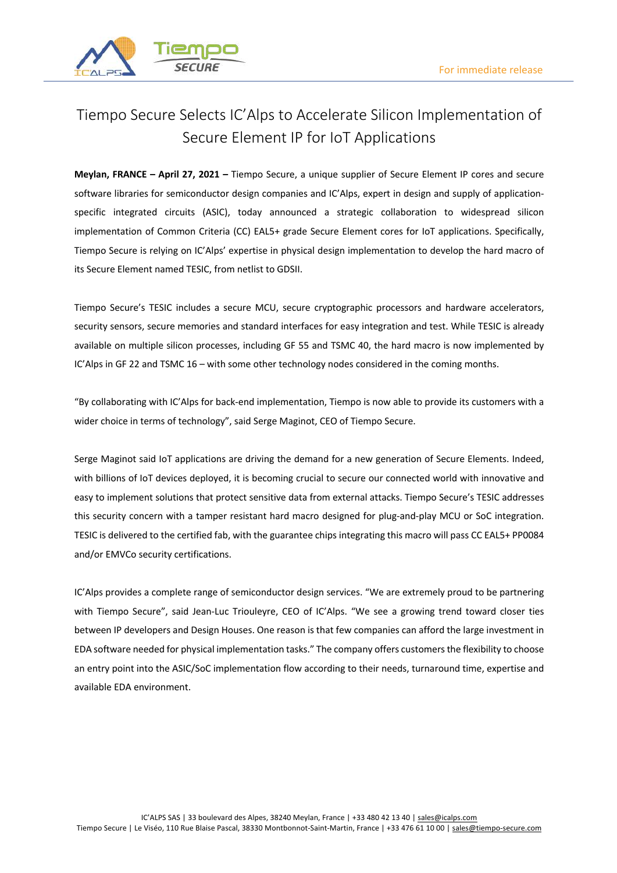

## Tiempo Secure Selects IC'Alps to Accelerate Silicon Implementation of Secure Element IP for IoT Applications

**Meylan, FRANCE – April 27, 2021 –** Tiempo Secure, a unique supplier of Secure Element IP cores and secure software libraries for semiconductor design companies and IC'Alps, expert in design and supply of applicationspecific integrated circuits (ASIC), today announced a strategic collaboration to widespread silicon implementation of Common Criteria (CC) EAL5+ grade Secure Element cores for IoT applications. Specifically, Tiempo Secure is relying on IC'Alps' expertise in physical design implementation to develop the hard macro of its Secure Element named TESIC, from netlist to GDSII.

Tiempo Secure's TESIC includes a secure MCU, secure cryptographic processors and hardware accelerators, security sensors, secure memories and standard interfaces for easy integration and test. While TESIC is already available on multiple silicon processes, including GF 55 and TSMC 40, the hard macro is now implemented by IC'Alps in GF 22 and TSMC 16 – with some other technology nodes considered in the coming months.

"By collaborating with IC'Alps for back-end implementation, Tiempo is now able to provide its customers with a wider choice in terms of technology", said Serge Maginot, CEO of Tiempo Secure.

Serge Maginot said IoT applications are driving the demand for a new generation of Secure Elements. Indeed, with billions of IoT devices deployed, it is becoming crucial to secure our connected world with innovative and easy to implement solutions that protect sensitive data from external attacks. Tiempo Secure's TESIC addresses this security concern with a tamper resistant hard macro designed for plug-and-play MCU or SoC integration. TESIC is delivered to the certified fab, with the guarantee chips integrating this macro will pass CC EAL5+ PP0084 and/or EMVCo security certifications.

IC'Alps provides a complete range of semiconductor design services. "We are extremely proud to be partnering with Tiempo Secure", said Jean-Luc Triouleyre, CEO of IC'Alps. "We see a growing trend toward closer ties between IP developers and Design Houses. One reason is that few companies can afford the large investment in EDA software needed for physical implementation tasks." The company offers customersthe flexibility to choose an entry point into the ASIC/SoC implementation flow according to their needs, turnaround time, expertise and available EDA environment.